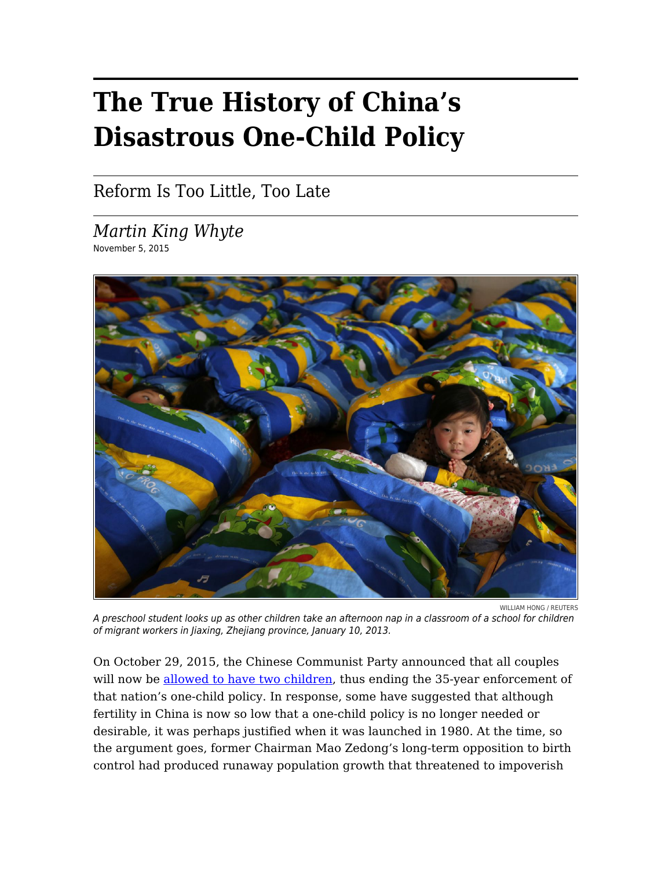## **The True History of China's Disastrous One-Child Policy**

Reform Is Too Little, Too Late

*Martin King Whyte* November 5, 2015



A preschool student looks up as other children take an afternoon nap in a classroom of a school for children of migrant workers in Jiaxing, Zhejiang province, January 10, 2013.

On October 29, 2015, the Chinese Communist Party announced that all couples will now be [allowed to have two children](http://www.nytimes.com/2015/10/30/world/asia/china-end-one-child-policy.html?_r=0), thus ending the 35-year enforcement of that nation's one-child policy. In response, some have suggested that although fertility in China is now so low that a one-child policy is no longer needed or desirable, it was perhaps justified when it was launched in 1980. At the time, so the argument goes, former Chairman Mao Zedong's long-term opposition to birth control had produced runaway population growth that threatened to impoverish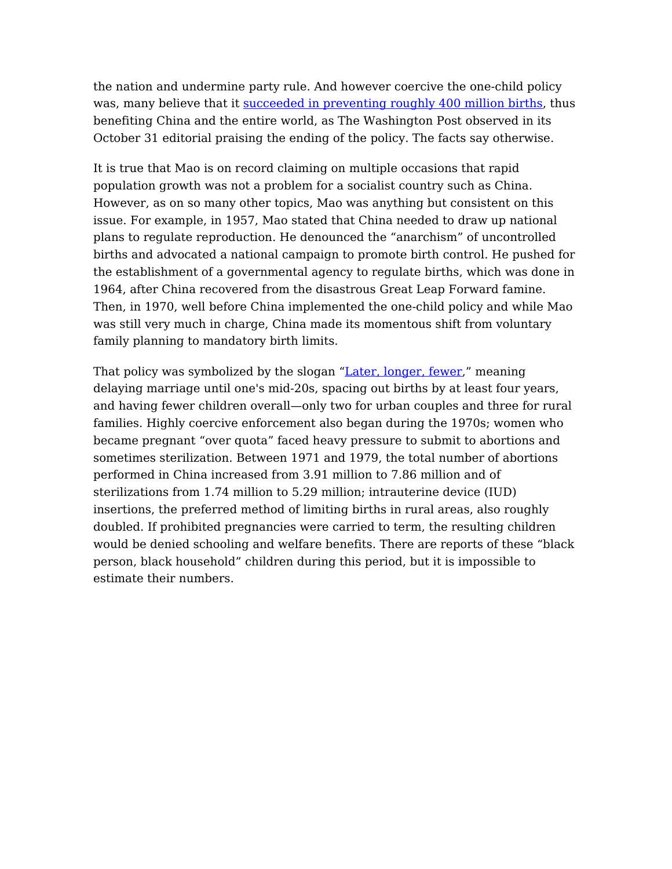the nation and undermine party rule. And however coercive the one-child policy was, many believe that it [succeeded in preventing roughly 400 million births,](https://www.washingtonpost.com/opinions/chinas-lifting-of-its-one-child-policy-cant-undo-the-damage-already-done/2015/10/31/6c885b64-7f3f-11e5-b575-d8dcfedb4ea1_story.html) thus benefiting China and the entire world, as The Washington Post observed in its October 31 editorial praising the ending of the policy. The facts say otherwise.

It is true that Mao is on record claiming on multiple occasions that rapid population growth was not a problem for a socialist country such as China. However, as on so many other topics, Mao was anything but consistent on this issue. For example, in 1957, Mao stated that China needed to draw up national plans to regulate reproduction. He denounced the "anarchism" of uncontrolled births and advocated a national campaign to promote birth control. He pushed for the establishment of a governmental agency to regulate births, which was done in 1964, after China recovered from the disastrous Great Leap Forward famine. Then, in 1970, well before China implemented the one-child policy and while Mao was still very much in charge, China made its momentous shift from voluntary family planning to mandatory birth limits.

That policy was symbolized by the slogan ["Later, longer, fewer](http://www.ncbi.nlm.nih.gov/pmc/articles/PMC1116810/)," meaning delaying marriage until one's mid-20s, spacing out births by at least four years, and having fewer children overall—only two for urban couples and three for rural families. Highly coercive enforcement also began during the 1970s; women who became pregnant "over quota" faced heavy pressure to submit to abortions and sometimes sterilization. Between 1971 and 1979, the total number of abortions performed in China increased from 3.91 million to 7.86 million and of sterilizations from 1.74 million to 5.29 million; intrauterine device (IUD) insertions, the preferred method of limiting births in rural areas, also roughly doubled. If prohibited pregnancies were carried to term, the resulting children would be denied schooling and welfare benefits. There are reports of these "black person, black household" children during this period, but it is impossible to estimate their numbers.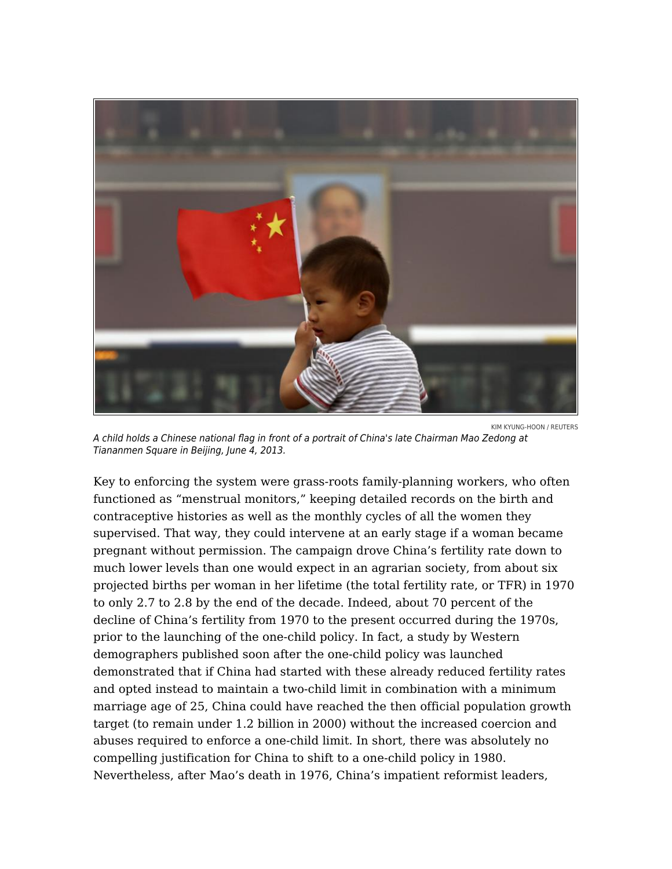

KIM KYUNG-HOON / REUTERS A child holds a Chinese national flag in front of a portrait of China's late Chairman Mao Zedong at Tiananmen Square in Beijing, June 4, 2013.

Key to enforcing the system were grass-roots family-planning workers, who often functioned as "menstrual monitors," keeping detailed records on the birth and contraceptive histories as well as the monthly cycles of all the women they supervised. That way, they could intervene at an early stage if a woman became pregnant without permission. The campaign drove China's fertility rate down to much lower levels than one would expect in an agrarian society, from about six projected births per woman in her lifetime (the total fertility rate, or TFR) in 1970 to only 2.7 to 2.8 by the end of the decade. Indeed, about 70 percent of the decline of China's fertility from 1970 to the present occurred during the 1970s, prior to the launching of the one-child policy. In fact, a study by Western demographers published soon after the one-child policy was launched demonstrated that if China had started with these already reduced fertility rates and opted instead to maintain a two-child limit in combination with a minimum marriage age of 25, China could have reached the then official population growth target (to remain under 1.2 billion in 2000) without the increased coercion and abuses required to enforce a one-child limit. In short, there was absolutely no compelling justification for China to shift to a one-child policy in 1980. Nevertheless, after Mao's death in 1976, China's impatient reformist leaders,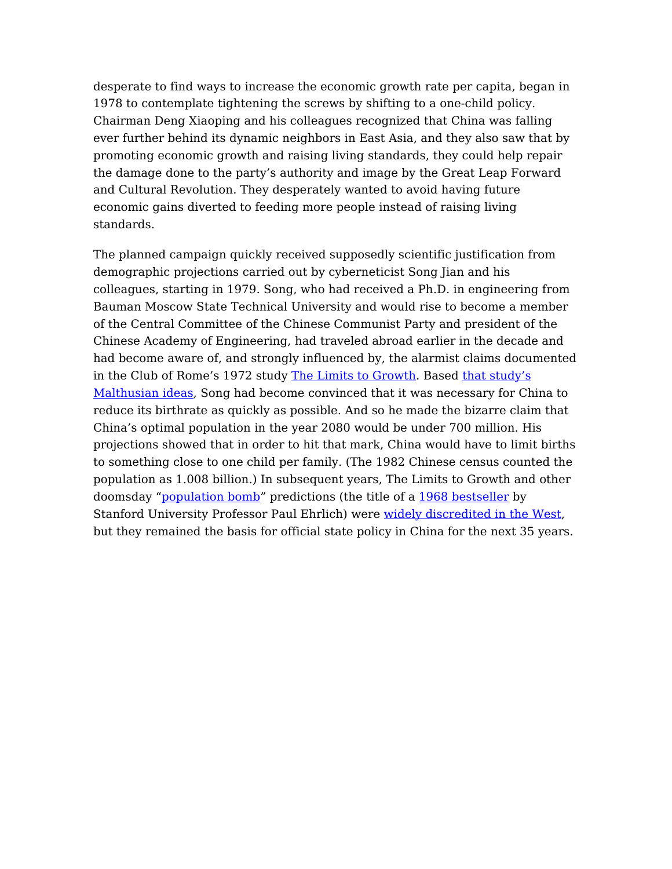desperate to find ways to increase the economic growth rate per capita, began in 1978 to contemplate tightening the screws by shifting to a one-child policy. Chairman Deng Xiaoping and his colleagues recognized that China was falling ever further behind its dynamic neighbors in East Asia, and they also saw that by promoting economic growth and raising living standards, they could help repair the damage done to the party's authority and image by the Great Leap Forward and Cultural Revolution. They desperately wanted to avoid having future economic gains diverted to feeding more people instead of raising living standards.

The planned campaign quickly received supposedly scientific justification from demographic projections carried out by cyberneticist Song Jian and his colleagues, starting in 1979. Song, who had received a Ph.D. in engineering from Bauman Moscow State Technical University and would rise to become a member of the Central Committee of the Chinese Communist Party and president of the Chinese Academy of Engineering, had traveled abroad earlier in the decade and had become aware of, and strongly influenced by, the alarmist claims documented in the Club of Rome's 1972 study [The Limits to Growth](http://www.amazon.com/The-Limits-growth-Project-Predicament/dp/0876631650/ref=pd_sim_14_3?ie=UTF8&dpID=310DbLQD3wL&dpSrc=sims&preST=_AC_UL160_SR106%2C160_&refRID=0ZBZCX7A99BDQP176EMX). Based [that study's](https://www.foreignaffairs.com/articles/2012-07-01/environmental-alarmism-then-and-now) [Malthusian ideas](https://www.foreignaffairs.com/articles/2012-07-01/environmental-alarmism-then-and-now), Song had become convinced that it was necessary for China to reduce its birthrate as quickly as possible. And so he made the bizarre claim that China's optimal population in the year 2080 would be under 700 million. His projections showed that in order to hit that mark, China would have to limit births to something close to one child per family. (The 1982 Chinese census counted the population as 1.008 billion.) In subsequent years, The Limits to Growth and other doomsday ["population bomb](https://www.foreignaffairs.com/articles/2010-01-01/new-population-bomb)" predictions (the title of a [1968 bestseller](http://www.amazon.com/The-Population-Bomb-Paul-Ehrlich/dp/1568495870) by Stanford University Professor Paul Ehrlich) were [widely discredited in the West,](https://www.foreignaffairs.com/articles/global-commons/2012-09-01/growth-good) but they remained the basis for official state policy in China for the next 35 years.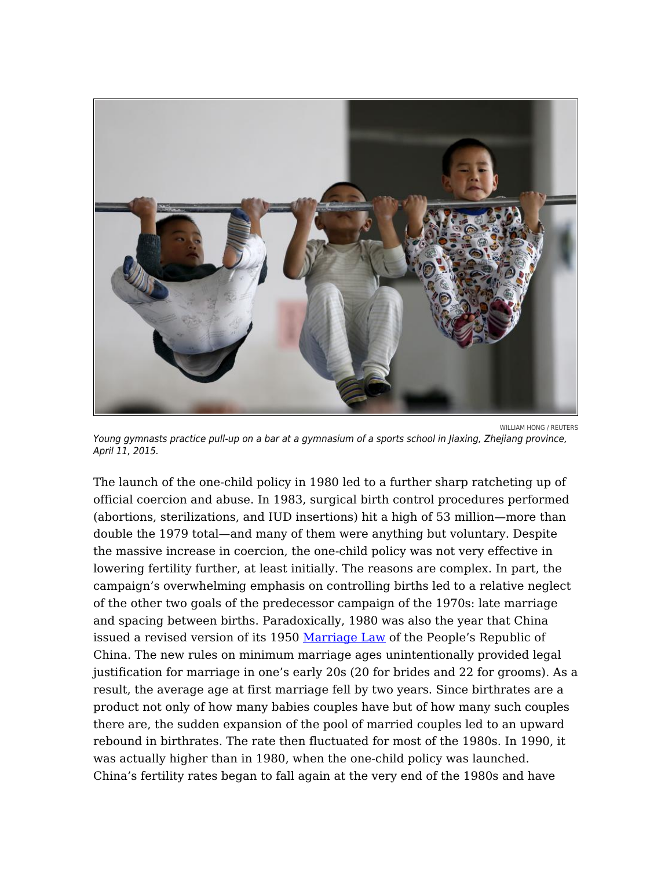

WILLIAM HONG / REUTERS Young gymnasts practice pull-up on a bar at a gymnasium of a sports school in Jiaxing, Zhejiang province, April 11, 2015.

The launch of the one-child policy in 1980 led to a further sharp ratcheting up of official coercion and abuse. In 1983, surgical birth control procedures performed (abortions, sterilizations, and IUD insertions) hit a high of 53 million—more than double the 1979 total—and many of them were anything but voluntary. Despite the massive increase in coercion, the one-child policy was not very effective in lowering fertility further, at least initially. The reasons are complex. In part, the campaign's overwhelming emphasis on controlling births led to a relative neglect of the other two goals of the predecessor campaign of the 1970s: late marriage and spacing between births. Paradoxically, 1980 was also the year that China issued a revised version of its 1950 [Marriage Law](http://newyork.china-consulate.org/eng/lsqz/laws/t42222.htm) of the People's Republic of China. The new rules on minimum marriage ages unintentionally provided legal justification for marriage in one's early 20s (20 for brides and 22 for grooms). As a result, the average age at first marriage fell by two years. Since birthrates are a product not only of how many babies couples have but of how many such couples there are, the sudden expansion of the pool of married couples led to an upward rebound in birthrates. The rate then fluctuated for most of the 1980s. In 1990, it was actually higher than in 1980, when the one-child policy was launched. China's fertility rates began to fall again at the very end of the 1980s and have